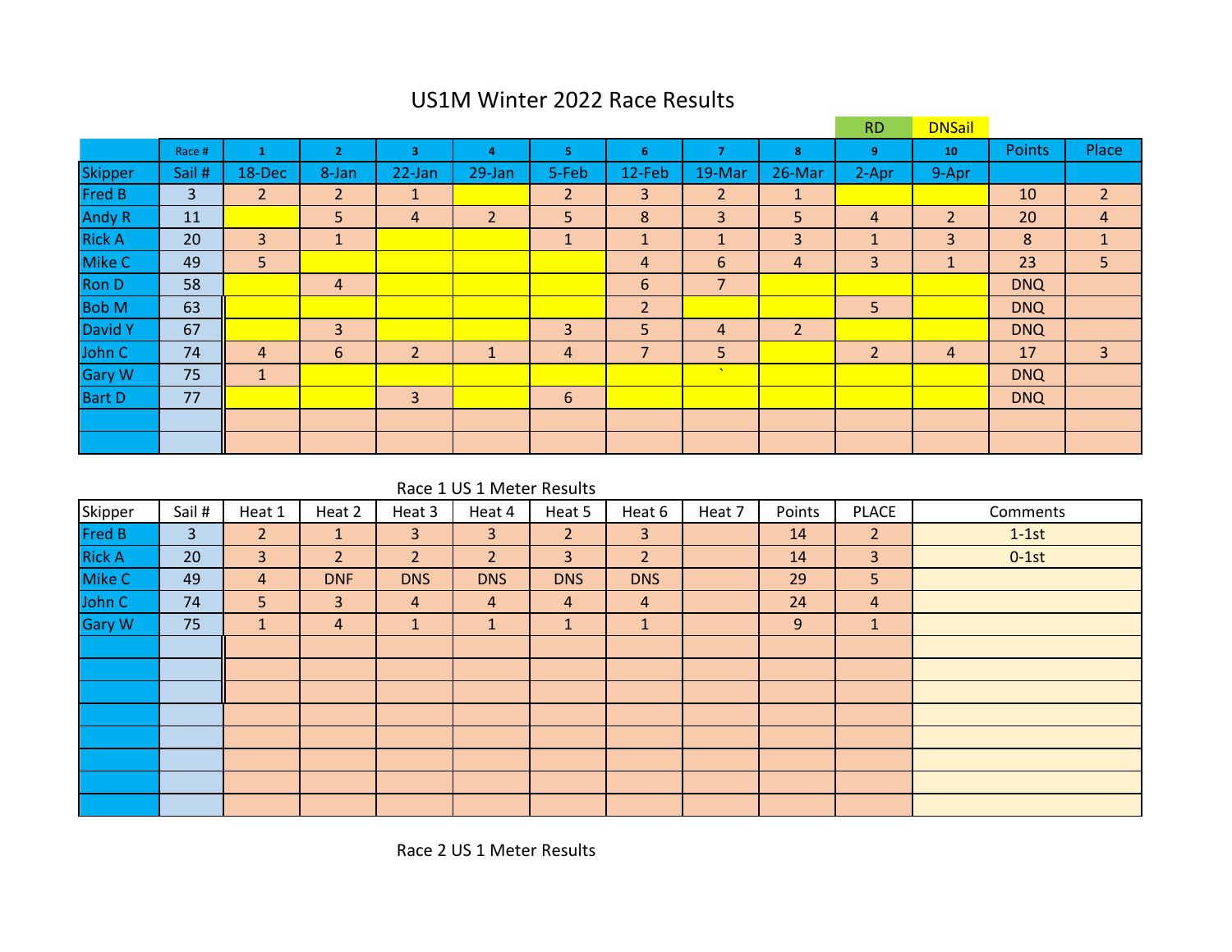## US1M Winter 2022 Race Results

|                |        |                |                |                |        |                |                |                 |                | <b>RD</b>      | <b>DNSail</b>  |            |                |
|----------------|--------|----------------|----------------|----------------|--------|----------------|----------------|-----------------|----------------|----------------|----------------|------------|----------------|
|                | Race # |                | $\overline{2}$ | 3              | 4      | 5              | 6              | 7               | 8              | 9              | 10             | Points     | Place          |
| <b>Skipper</b> | Sail # | 18-Dec         | 8-Jan          | 22-Jan         | 29-Jan | 5-Feb          | 12-Feb         | 19-Mar          | 26-Mar         | 2-Apr          | 9-Apr          |            |                |
| Fred B         | 3      | $\overline{2}$ | $\overline{2}$ | $\mathbf{1}$   |        | $\overline{2}$ | 3              | $\overline{2}$  | $\mathbf{1}$   |                |                | 10         | 2 <sup>1</sup> |
| <b>Andy R</b>  | 11     |                | 5              | 4              | 2      | 5              | 8              | 3               | 5              | 4              | $\overline{2}$ | 20         | 4              |
| <b>Rick A</b>  | 20     | 3              | 1              |                |        | $\mathbf{1}$   | $\mathbf{1}$   | $\mathbf 1$     | 3              | ×              | 3              | 8          | $\mathbf{1}$   |
| Mike C         | 49     | 5              |                |                |        |                | $\overline{4}$ | 6               | $\overline{4}$ | 3              | Æ.             | 23         | 5              |
| <b>Ron D</b>   | 58     |                | 4              |                |        |                | 6              | $\overline{7}$  |                |                |                | <b>DNQ</b> |                |
| <b>Bob M</b>   | 63     |                |                |                |        |                | $\overline{2}$ |                 |                | 5 <sub>5</sub> |                | <b>DNQ</b> |                |
| David Y        | 67     |                | 3              |                |        | 3              | 5              | 4               | $\overline{2}$ |                |                | <b>DNQ</b> |                |
| John C         | 74     | $\overline{4}$ | 6              | $\overline{2}$ |        | 4              | $\overline{7}$ | 5               |                | $\overline{2}$ | 4              | 17         | $\mathbf{3}$   |
| <b>Gary W</b>  | 75     | $\vert$ 1      |                |                |        |                |                | $\Delta \omega$ |                |                |                | <b>DNQ</b> |                |
| <b>Bart D</b>  | 77     |                |                | 3              |        | 6              |                |                 |                |                |                | <b>DNQ</b> |                |
|                |        |                |                |                |        |                |                |                 |                |                |                |            |                |
|                |        |                |                |                |        |                |                |                 |                |                |                |            |                |

Race 1 US 1 Meter Results

| Skipper       | Sail #         | Heat 1         | Heat 2         | Heat 3         | Heat 4         | Heat 5         | Heat 6         | Heat 7 | Points | <b>PLACE</b>   | Comments |
|---------------|----------------|----------------|----------------|----------------|----------------|----------------|----------------|--------|--------|----------------|----------|
| Fred B        | 3 <sup>1</sup> | 2 <sup>1</sup> | $\mathbf{1}$   | $\mathbf{3}$   | 3              | $\overline{2}$ | 3 <sup>1</sup> |        | 14     | 2 <sup>7</sup> | $1-1st$  |
| <b>Rick A</b> | 20             | 3              | $\overline{2}$ | 2 <sup>1</sup> | $\overline{2}$ | $\overline{3}$ | 2 <sup>1</sup> |        | 14     | $\overline{3}$ | $0-1st$  |
| Mike C        | 49             | $\overline{4}$ | <b>DNF</b>     | <b>DNS</b>     | <b>DNS</b>     | <b>DNS</b>     | <b>DNS</b>     |        | 29     | 5              |          |
| John C        | 74             | 5              | 3              | $\overline{4}$ | $\overline{4}$ | $\overline{4}$ | $\overline{4}$ |        | 24     | 4              |          |
| <b>Gary W</b> | 75             | 1              | $\overline{a}$ | $\mathbf{1}$   | 1              | $\mathbf{1}$   | $\mathbf{1}$   |        | 9      | $\mathbf{1}$   |          |
|               |                |                |                |                |                |                |                |        |        |                |          |
|               |                |                |                |                |                |                |                |        |        |                |          |
|               |                |                |                |                |                |                |                |        |        |                |          |
|               |                |                |                |                |                |                |                |        |        |                |          |
|               |                |                |                |                |                |                |                |        |        |                |          |
|               |                |                |                |                |                |                |                |        |        |                |          |
|               |                |                |                |                |                |                |                |        |        |                |          |
|               |                |                |                |                |                |                |                |        |        |                |          |

Race 2 US 1 Meter Results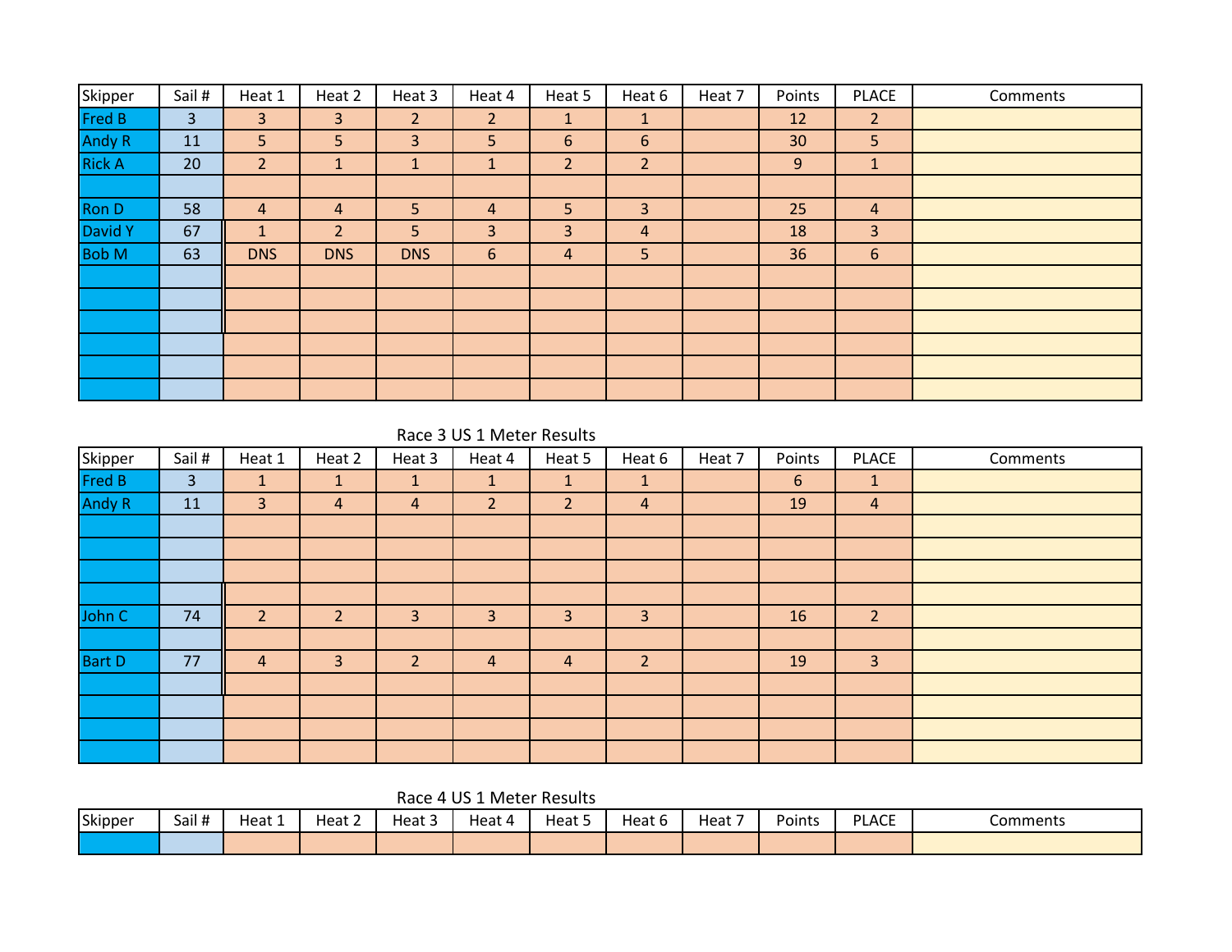| Skipper       | Sail #         | Heat 1         | Heat 2         | Heat 3         | Heat 4         | Heat 5         | Heat 6         | Heat 7 | Points          | <b>PLACE</b>   | Comments |
|---------------|----------------|----------------|----------------|----------------|----------------|----------------|----------------|--------|-----------------|----------------|----------|
| Fred B        | $\overline{3}$ | 3              | $\overline{3}$ | $\overline{2}$ | $\overline{2}$ | $\mathbf{1}$   | $\mathbf{1}$   |        | 12              | $\overline{2}$ |          |
| Andy R        | 11             | 5              | 5              | 3              | 5              | 6              | 6              |        | 30 <sup>°</sup> | 5              |          |
| <b>Rick A</b> | 20             | $\overline{2}$ | 1              | $\mathbf{1}$   |                | $\overline{2}$ | $\overline{2}$ |        | 9               | $\mathbf{1}$   |          |
|               |                |                |                |                |                |                |                |        |                 |                |          |
| Ron D         | 58             | $\overline{4}$ | 4              | 5              | 4              | 5              | $\overline{3}$ |        | 25              | $\overline{4}$ |          |
| David Y       | 67             | $\mathbf{1}$   | $\overline{2}$ | 5              | 3              | 3              | $\overline{4}$ |        | 18              | 3              |          |
| <b>Bob M</b>  | 63             | <b>DNS</b>     | <b>DNS</b>     | <b>DNS</b>     | 6              | 4              | 5              |        | 36              | 6              |          |
|               |                |                |                |                |                |                |                |        |                 |                |          |
|               |                |                |                |                |                |                |                |        |                 |                |          |
|               |                |                |                |                |                |                |                |        |                 |                |          |
|               |                |                |                |                |                |                |                |        |                 |                |          |
|               |                |                |                |                |                |                |                |        |                 |                |          |
|               |                |                |                |                |                |                |                |        |                 |                |          |

Race 3 US 1 Meter Results

| Skipper       | Sail #         | Heat 1         | Heat 2         | Heat 3         | Heat 4         | Heat 5         | Heat 6         | Heat 7 | Points | <b>PLACE</b>   | Comments |
|---------------|----------------|----------------|----------------|----------------|----------------|----------------|----------------|--------|--------|----------------|----------|
| <b>Fred B</b> | $\overline{3}$ | $\mathbf{1}$   | $\mathbf{1}$   | $\mathbf{1}$   | $\mathbf{1}$   | $\mathbf{1}$   | $\mathbf{1}$   |        | 6      | $\vert$ 1      |          |
| <b>Andy R</b> | 11             | 3              | 4              | $\overline{a}$ | $\overline{2}$ | $\overline{2}$ | 4              |        | 19     | $\overline{4}$ |          |
|               |                |                |                |                |                |                |                |        |        |                |          |
|               |                |                |                |                |                |                |                |        |        |                |          |
|               |                |                |                |                |                |                |                |        |        |                |          |
|               |                |                |                |                |                |                |                |        |        |                |          |
| John C        | 74             | $\overline{2}$ | $\overline{2}$ | 3              | 3              | 3              | $\overline{3}$ |        | 16     | $\overline{2}$ |          |
|               |                |                |                |                |                |                |                |        |        |                |          |
| <b>Bart D</b> | 77             | 4              | 3              | $\overline{2}$ | $\overline{4}$ | 4              | $\overline{2}$ |        | 19     | $\overline{3}$ |          |
|               |                |                |                |                |                |                |                |        |        |                |          |
|               |                |                |                |                |                |                |                |        |        |                |          |
|               |                |                |                |                |                |                |                |        |        |                |          |
|               |                |                |                |                |                |                |                |        |        |                |          |

Race 4 US 1 Meter Results

| Skipper | Sail # | Heat 1 | $\sim$<br>Heat ∠ | $\sim$<br>Heat 5 | Heat 4 | Heat 5 | Heat 6 | $\overline{\phantom{0}}$<br>Heat | Points | <b>PLACE</b> | Comments |
|---------|--------|--------|------------------|------------------|--------|--------|--------|----------------------------------|--------|--------------|----------|
|         |        |        |                  |                  |        |        |        |                                  |        |              |          |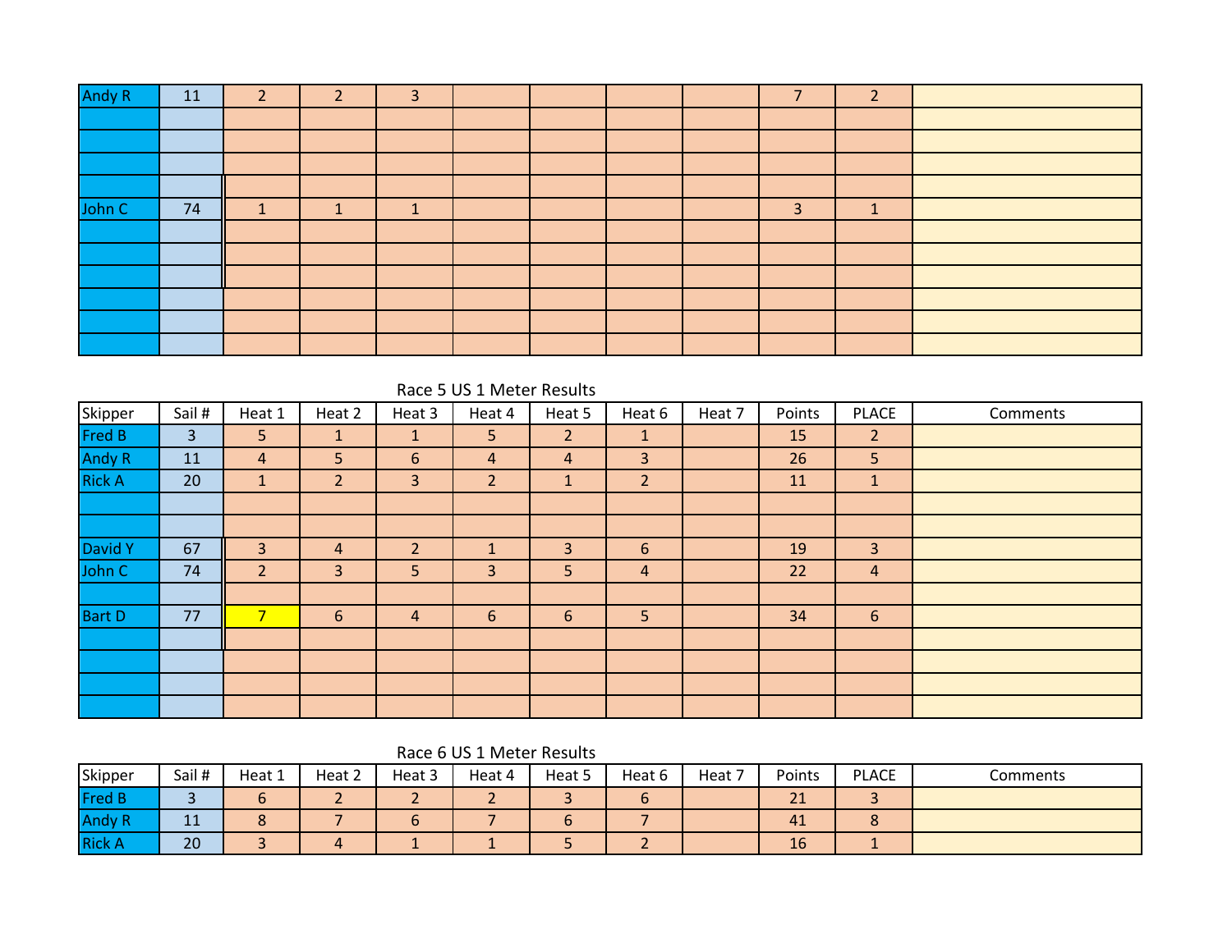| <b>Andy R</b> | 11 | $\overline{2}$ | $\mathcal{D}$ | 3 |  |  | $\overline{\phantom{a}}$ | $\overline{2}$ |  |
|---------------|----|----------------|---------------|---|--|--|--------------------------|----------------|--|
|               |    |                |               |   |  |  |                          |                |  |
|               |    |                |               |   |  |  |                          |                |  |
|               |    |                |               |   |  |  |                          |                |  |
|               |    |                |               |   |  |  |                          |                |  |
| John C        | 74 |                |               | - |  |  | 3                        | $\epsilon$     |  |
|               |    |                |               |   |  |  |                          |                |  |
|               |    |                |               |   |  |  |                          |                |  |
|               |    |                |               |   |  |  |                          |                |  |
|               |    |                |               |   |  |  |                          |                |  |
|               |    |                |               |   |  |  |                          |                |  |
|               |    |                |               |   |  |  |                          |                |  |

| Skipper       | Sail # | Heat 1                   | Heat 2         | Heat 3         | Heat 4         | Heat 5         | Heat 6         | Heat 7 | Points | <b>PLACE</b>   | Comments |
|---------------|--------|--------------------------|----------------|----------------|----------------|----------------|----------------|--------|--------|----------------|----------|
| <b>Fred B</b> | 3      | 5                        | $\mathbf{1}$   | 1              | 5              | $\overline{2}$ | $\mathbf{1}$   |        | 15     | $\overline{2}$ |          |
| <b>Andy R</b> | 11     | 4                        | 5              | 6              | 4              | $\overline{4}$ | 3              |        | 26     | 5              |          |
| <b>Rick A</b> | 20     | $\mathbf{1}$             | $\overline{2}$ | 3              | $\overline{2}$ | 1              | $\overline{2}$ |        | 11     | $\mathbf{1}$   |          |
|               |        |                          |                |                |                |                |                |        |        |                |          |
|               |        |                          |                |                |                |                |                |        |        |                |          |
| David Y       | 67     | 3                        | 4              | $\overline{2}$ |                | 3              | $6\phantom{1}$ |        | 19     | $\overline{3}$ |          |
| John C        | 74     | $\overline{2}$           | 3              | 5              | 3              | 5              | $\overline{4}$ |        | 22     | $\overline{a}$ |          |
|               |        |                          |                |                |                |                |                |        |        |                |          |
| <b>Bart D</b> | 77     | $\overline{\phantom{a}}$ | 6              | 4              | 6              | 6              | 5 <sup>1</sup> |        | 34     | 6              |          |
|               |        |                          |                |                |                |                |                |        |        |                |          |
|               |        |                          |                |                |                |                |                |        |        |                |          |
|               |        |                          |                |                |                |                |                |        |        |                |          |
|               |        |                          |                |                |                |                |                |        |        |                |          |

Race 6 US 1 Meter Results

| Skipper       | Sail #               | Heat 1 | Heat 2 | Heat 3 | Heat 4 | Heat 5 | Heat 6 | Heat 7 | Points | <b>PLACE</b> | Comments |
|---------------|----------------------|--------|--------|--------|--------|--------|--------|--------|--------|--------------|----------|
| <b>Fred B</b> |                      |        |        |        |        |        |        |        | 21     |              |          |
| <b>Andy R</b> | $\overline{A}$<br>ᆂᆂ |        |        |        |        |        |        |        | 41     | -<br>Ο       |          |
| <b>Rick A</b> | 20                   |        |        |        |        | $\sim$ |        |        | 16     |              |          |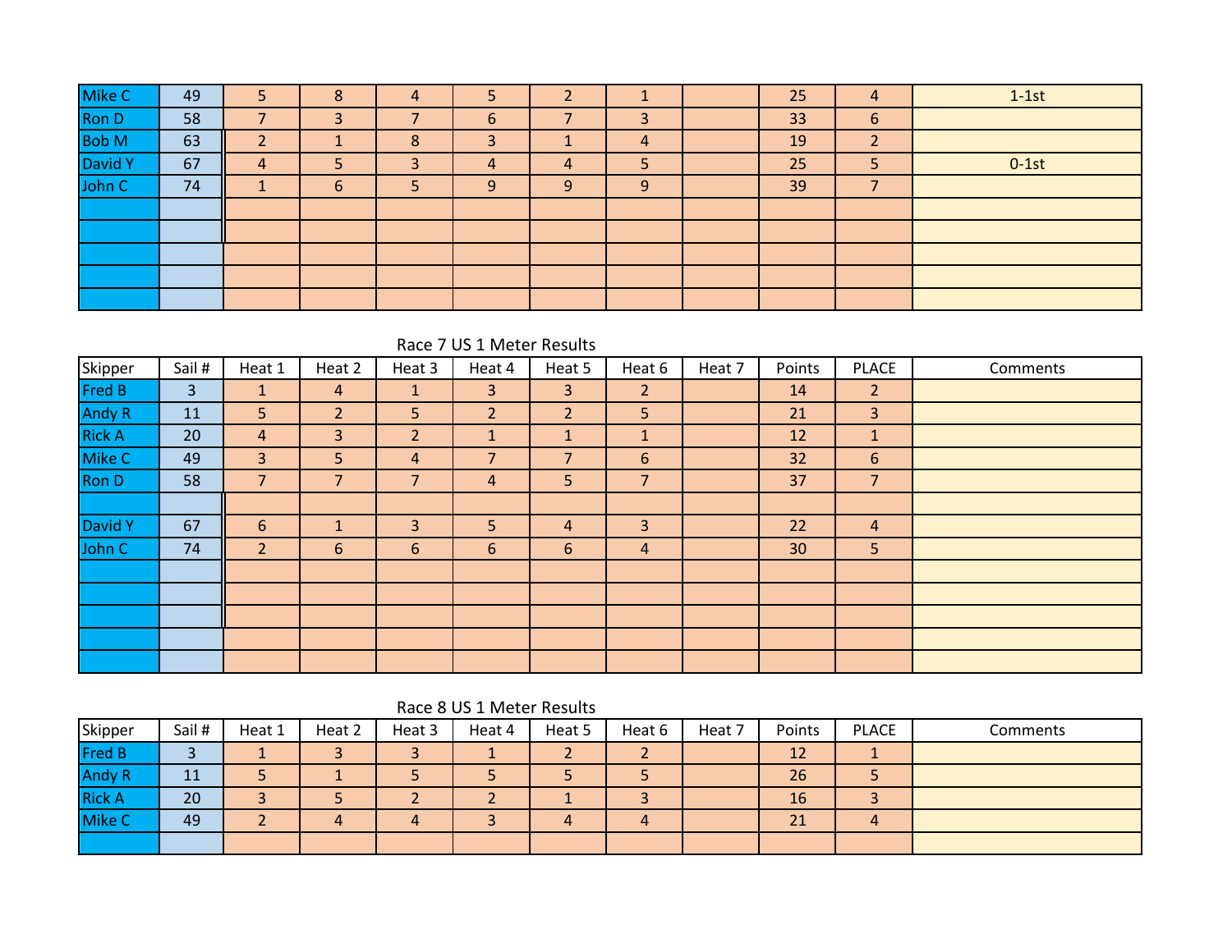| Mike C       | 49 | 5              | 8 | 4 |   |   |   | 25 | $\overline{4}$    | $1-1st$ |
|--------------|----|----------------|---|---|---|---|---|----|-------------------|---------|
| <b>Ron D</b> | 58 |                |   |   | 6 |   | 3 | 33 | 6                 |         |
| <b>Bob M</b> | 63 | ◠              |   | 8 | 3 |   | 4 | 19 | $\mathbf{D}$<br>∠ |         |
| David Y      | 67 | $\overline{4}$ |   | 3 | 4 | 4 | 5 | 25 | 5                 | $0-1st$ |
| John C       | 74 |                | 6 | 5 | 9 | 9 | 9 | 39 |                   |         |
|              |    |                |   |   |   |   |   |    |                   |         |
|              |    |                |   |   |   |   |   |    |                   |         |
|              |    |                |   |   |   |   |   |    |                   |         |
|              |    |                |   |   |   |   |   |    |                   |         |
|              |    |                |   |   |   |   |   |    |                   |         |

Race 7 US 1 Meter Results

| Skipper       | Sail # | Heat 1         | Heat 2         | Heat 3         | Heat 4         | Heat 5         | Heat 6         | Heat 7 | Points | <b>PLACE</b>   | Comments |
|---------------|--------|----------------|----------------|----------------|----------------|----------------|----------------|--------|--------|----------------|----------|
| Fred B        | 3      | $\mathbf{1}$   | 4              | $\mathbf{1}$   | $\mathbf{3}$   | $\overline{3}$ | $\overline{2}$ |        | 14     | $\overline{2}$ |          |
| Andy R        | 11     | 5              | $\overline{2}$ | 5              | $\overline{2}$ | $\overline{2}$ | 5              |        | 21     | $\overline{3}$ |          |
| <b>Rick A</b> | 20     | $\overline{4}$ | 3              | $\overline{2}$ |                | $\mathbf{1}$   | $\mathbf{1}$   |        | 12     | $\mathbf{1}$   |          |
| Mike C        | 49     | $\overline{3}$ | 5              | 4              | ⇁              |                | 6              |        | 32     | 6              |          |
| Ron D         | 58     | $\overline{7}$ | 7              | $\overline{7}$ | $\overline{4}$ | 5              | 7              |        | 37     | $\overline{7}$ |          |
|               |        |                |                |                |                |                |                |        |        |                |          |
| David Y       | 67     | 6              |                | 3              | 5              | 4              | 3              |        | 22     | $\overline{4}$ |          |
| John C        | 74     | $\overline{2}$ | 6              | 6              | $6\phantom{1}$ | 6              | 4              |        | 30     | 5 <sup>5</sup> |          |
|               |        |                |                |                |                |                |                |        |        |                |          |
|               |        |                |                |                |                |                |                |        |        |                |          |
|               |        |                |                |                |                |                |                |        |        |                |          |
|               |        |                |                |                |                |                |                |        |        |                |          |
|               |        |                |                |                |                |                |                |        |        |                |          |

|               |        |        |        |        | Race 8 US 1 Meter Results |          |        |        |           |              |          |
|---------------|--------|--------|--------|--------|---------------------------|----------|--------|--------|-----------|--------------|----------|
| Skipper       | Sail # | Heat 1 | Heat 2 | Heat 3 | Heat 4                    | Heat 5   | Heat 6 | Heat 7 | Points    | <b>PLACE</b> | Comments |
| <b>Fred B</b> |        |        |        |        |                           | <u>.</u> |        |        | <b>12</b> |              |          |
| <b>Andy R</b> | 11     |        |        |        |                           |          |        |        | 26        |              |          |
| <b>Rick A</b> | 20     |        |        |        |                           |          |        |        | 16        |              |          |
| <b>Mike C</b> | 49     |        | 4      | 4      |                           | 4        | 4      |        | 21        | 4            |          |
|               |        |        |        |        |                           |          |        |        |           |              |          |

## $\sim$  Peter Results in Fig. 1.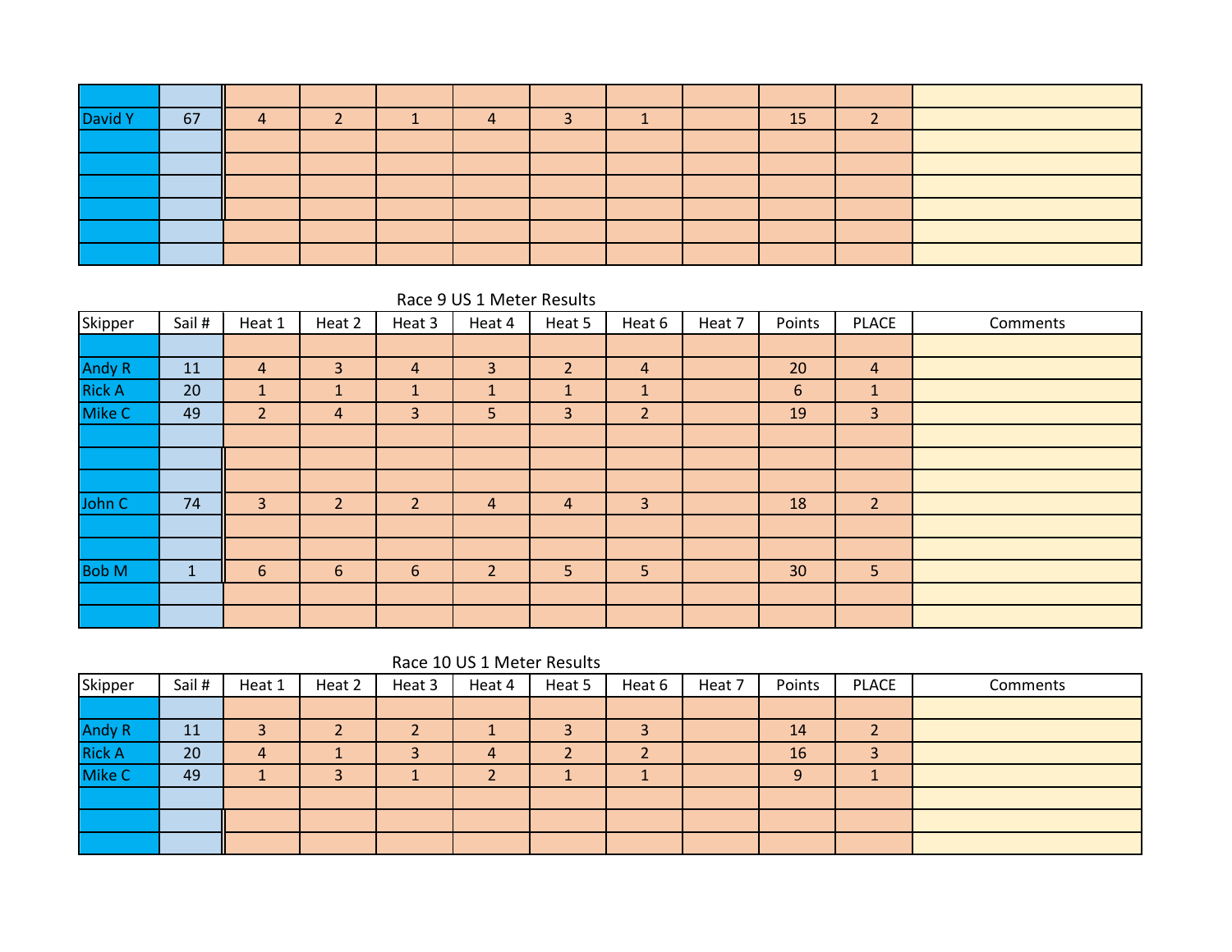| David Y | 67 |  |  |  | 15 |  |
|---------|----|--|--|--|----|--|
|         |    |  |  |  |    |  |
|         |    |  |  |  |    |  |
|         |    |  |  |  |    |  |
|         |    |  |  |  |    |  |
|         |    |  |  |  |    |  |
|         |    |  |  |  |    |  |

Race 9 US 1 Meter Results

| Skipper       | Sail # | Heat 1         | Heat 2         | Heat 3         | Heat 4         | Heat 5         | Heat 6         | Heat 7 | Points | <b>PLACE</b>   | Comments |
|---------------|--------|----------------|----------------|----------------|----------------|----------------|----------------|--------|--------|----------------|----------|
|               |        |                |                |                |                |                |                |        |        |                |          |
| Andy R        | 11     | $\overline{4}$ | 3              | 4              | 3              | $\overline{2}$ | $\overline{4}$ |        | 20     | $\overline{4}$ |          |
| <b>Rick A</b> | 20     | $\mathbf{1}$   | л              | $\mathbf{1}$   |                | A              | 1              |        | 6      | $\mathbf{1}$   |          |
| Mike C        | 49     | $\overline{2}$ | $\overline{4}$ | 3              | 5              | $\overline{3}$ | $\overline{2}$ |        | 19     | 3              |          |
|               |        |                |                |                |                |                |                |        |        |                |          |
|               |        |                |                |                |                |                |                |        |        |                |          |
|               |        |                |                |                |                |                |                |        |        |                |          |
| John C        | 74     | 3              | $\overline{2}$ | $\overline{2}$ | $\overline{4}$ | $\overline{4}$ | $\overline{3}$ |        | 18     | $\overline{2}$ |          |
|               |        |                |                |                |                |                |                |        |        |                |          |
|               |        |                |                |                |                |                |                |        |        |                |          |
| <b>Bob M</b>  |        | 6              | 6              | 6              | $\overline{2}$ | 5              | 5              |        | 30     | 5              |          |
|               |        |                |                |                |                |                |                |        |        |                |          |
|               |        |                |                |                |                |                |                |        |        |                |          |

Race 10 US 1 Meter Results

| Skipper       | Sail # | Heat 1         | Heat 2 | Heat 3 | Heat 4 | Heat 5 | Heat 6                   | Heat 7 | Points | <b>PLACE</b> | Comments |
|---------------|--------|----------------|--------|--------|--------|--------|--------------------------|--------|--------|--------------|----------|
|               |        |                |        |        |        |        |                          |        |        |              |          |
| <b>Andy R</b> | 11     |                |        |        |        |        | e                        |        | 14     |              |          |
| <b>Rick A</b> | 20     | $\overline{4}$ |        |        | 4      |        | $\overline{\phantom{a}}$ |        | 16     | 3            |          |
| Mike C        | 49     |                |        |        |        |        |                          |        | 9      |              |          |
|               |        |                |        |        |        |        |                          |        |        |              |          |
|               |        |                |        |        |        |        |                          |        |        |              |          |
|               |        |                |        |        |        |        |                          |        |        |              |          |